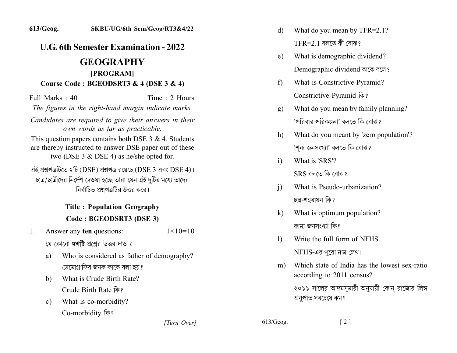# *L.G.* 6th Semester Examination - 2022

### **.2Y.2YYYY** [PROGRAM] **Course Code : BGEODSRT3 & 4 (DSE 3 & 4)**

 $Full Marks: 40$  Time 2 Hours

*The figures in the right-hand margin indicate marks.* 

Candidates are required to give their answers in their *own words as far as practicable.* 

This question papers contains both DSE  $3 & 4$ . Students are thereby instructed to answer DSE paper out of these two (DSE 3  $&$  DSE 4) as he/she opted for.

এই প্ৰশ্নপত্ৰটিতে ২টি (DSE) প্ৰশ্নপত্ৰ রয়েছে (DSE 3 এবং DSE 4)। ছাত্র/ছাত্রীদের নির্দেশ দেওয়া হচ্ছে তারা যেন এই দটির মধ্যে তাদের নির্বাচিত প্রশ্নপত্রটির উত্তর করে।

## **2222 Title : Population Geography Code: BGEODSRT3 (DSE 3)**

- 1. Answer any **ten** questions:  $1 \times 10=10$ 
	- যে-কোনো দশটি প্রশ্নের উত্তর দাও ঃ
	- a) Who is considered as father of demography? ডেমোগ্রাফির জনক কাকে বলা হয়?
	- b) What is Crude Birth Rate? Crude Birth Rate कि?
	- c) What is co-morbidity? Co-morbidity কি?

*[2] [2] [3] [3] [3] [3] [3] [3]* 

- d) What do you mean by  $TFR=2.1$ ?  $TFR = 21$  বলতে কী বোঝ ?
- e) What is demographic dividend? Demographic dividend কাকে বলে?
- f) What is Constrictive Pyramid? Constrictive Pyramid कि?
- g) What do you mean by family planning? 'পবিবার পরিকল্পনা' বলতে কি বোঝ?
- h) What do you meant by 'zero population'? 'শূন্য জনসংখ্যা' বলতে কি বোঝ?
- i) What is 'SRS'?  $SRS$  বলতে কি বোঝ ?
- i) What is Pseudo-urbanization? ছদ্ম-শহরায়ন কি?
- $k$ ) What is optimum population? কাম্য জনসংখ্যা কি?
- 1) Write the full form of NFHS.  $NFHS$ -এর পুরো নাম লেখ।
- m) Which state of India has the lowest sex-ratio according to 2011 census?

২০১১ সালের আদমসুমারী অনুযায়ী কোন রাজ্যের লিঙ্গ অনুপাত সবচেয়ে কম?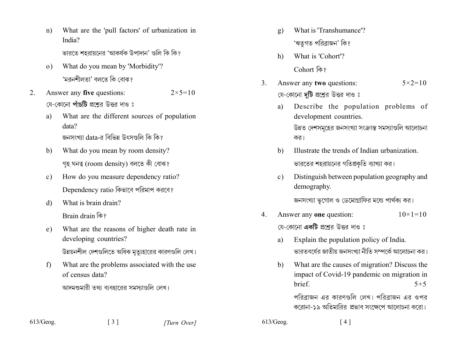What are the 'pull factors' of urbanization in  $n)$ India?

ভারতে শহরায়নের 'আকর্ষক উপাদান' গুলি কি কি?

- What do you mean by 'Morbidity'?  $\Omega$ ) 'মরনশীলতা' বলতে কি বোঝ?
- Answer any five questions:  $2^{\circ}$  $2 \times 5 = 10$ য়ে-কোনো **পাঁচটি** প্রশ্নের উত্তর দাও ঃ
	- What are the different sources of population a) data? জনসংখ্যা data-র বিভিন্ন উৎসগুলি কি কি?
	- What do you mean by room density?  $b)$ গৃহ ঘনত্ব (room density) বলতে কী বোঝ?
	- How do you measure dependency ratio?  $\mathbf{c}$ ) Dependency ratio কিভাবে পরিমাপ করবে?
	- What is brain drain? d) Brain drain कि?
	- What are the reasons of higher death rate in  $e)$ developing countries? উন্নয়নশীল দেশগুলিতে অধিক মৃত্যুহারের কারণগুলি লেখ।
	- What are the problems associated with the use  $f$ of census data?

```
আদমশুমারী তথ্য ব্যবহারের সমস্যাগুলি লেখ।
```
- What is 'Transhumance'?  $g)$ 'ঋতুগত পরিব্রাজন' কি?
- What is 'Cohort'?  $h)$ Cohort কি?
- Answer any two questions:  $5 \times 2 = 10$  $3<sub>1</sub>$ যে-কোনো দটি প্রশ্নের উত্তর দাও ঃ
	- Describe the population problems of a) development countries. উন্নত দেশসমূহের জনসংখ্যা সংক্রান্ত সমস্যাগুলি আলোচনা কর।
	- Illustrate the trends of Indian urbanization  $h)$ ভারতের শহরায়নের গতিপ্রকৃতি ব্যাখ্যা কর।
	- Distinguish between population geography and  $\mathbf{c}$ ) demography.

জনসংখ্যা ভূগোল ও ডেমোগ্রাফির মধ্যে পার্থক্য কর।

- Answer any **one** question:  $4_{\ldots}$  $10 \times 1 = 10$ য়ে-কোনো **একটি** প্রশ্নের উত্তর দাও ঃ
	- Explain the population policy of India. a) ভারতবর্ষের জাতীয় জনসংখ্যা নীতি সম্পর্কে আলোচনা কর।
	- What are the causes of migration? Discuss the b) impact of Covid-19 pandemic on migration in brief.  $5 + 5$

পরিব্রাজন এর কারণগুলি লেখ। পরিব্রাজন এর ওপর করোনা-১৯ অতিমারির প্রভাব সংক্ষেপে আলোচনা করো।

 $613/Geog.$ 

 $613/Geog.$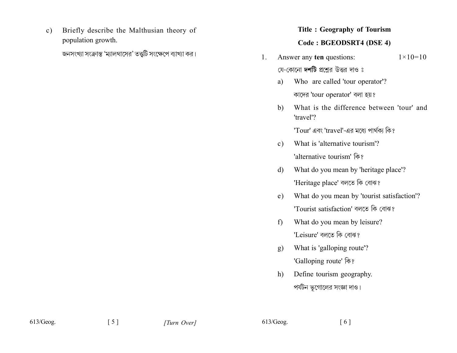Briefly describe the Malthusian theory of  $\mathbf{c})$ population growth.

জনসংখ্যা সংক্রান্ত 'ম্যালথাসের' তত্তুটি সংক্ষেপে ব্যাখ্যা কর।

#### **Title: Geography of Tourism**

#### Code: BGEODSRT4 (DSE 4)

- Answer any ten questions:  $1 \times 10 = 10$  $1_{-}$ 
	- যে-কোনো **দশটি** প্রশ্রের উত্তর দাও ঃ
	- Who are called 'tour operator'? a) কাদের 'tour operator' বলা হয়?
	- What is the difference between 'tour' and  $b)$ 'travel'?

'Tour' এবং 'travel'-এর মধ্যে পার্থক্য কি?

- What is 'alternative tourism'?  $c)$ 'alternative tourism' कि?
- What do you mean by 'heritage place'?  $\mathbf{d}$ 'Heritage place' বলতে কি বোঝ?
- What do you mean by 'tourist satisfaction'?  $e)$ 'Tourist satisfaction' বলতে কি বোঝ?
- What do you mean by leisure?  $f$ 'Leisure' বলতে কি বোঝ?
- What is 'galloping route'? g) 'Galloping route' कि?
- Define tourism geography. h) পর্যটন ভূগোলের সংজ্ঞা দাও।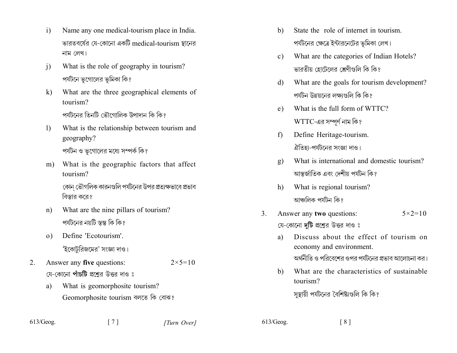- $\mathbf{i}$ Name any one medical-tourism place in India. ভারতবর্ষের যে-কোনো একটি medical-tourism স্থানের নাম লেখ।
- What is the role of geography in tourism?  $j)$ পর্যটনে ভগোলের ভূমিকা কি?
- What are the three geographical elements of  $\bf k$ tourism? পর্যটনের তিনটি ভৌগোলিক উপাদান কি কি?
- $\mathbf{D}$ What is the relationship between tourism and geography? পর্যটন ও ভূগোলের মধ্যে সম্পর্ক কি?
- What is the geographic factors that affect  $m$ ) tourism?

কোন ভৌগলিক কারনগুলি পর্যটনের উপর প্রত্যক্ষভাবে প্রভাব বিস্তার করে?

- What are the nine pillars of tourism?  $n)$ পর্যটনের নয়টি স্তম্ভ কি কি?
- Define 'Ecotourism'  $\Omega$ ) 'ইকোটুরিজমের' সংজ্ঞা দাও।
- Answer any five questions:  $2_{-}$  $2 \times 5 = 10$ য়ে-কোনো **পাঁচটি** প্রশ্রের উত্তর দাও ঃ
	- What is geomorphosite tourism? a) Geomorphosite tourism বলতে কি বোৰা?
- $613/Geog.$

 $613/Geog.$ 

- State the role of internet in tourism. b) পর্যটনের ক্ষেত্রে ইন্টারনেটের ভূমিকা লেখ।
- What are the categories of Indian Hotels?  $c)$ ভারতীয় হোটেলের শ্রেণীগুলি কি কি?
- What are the goals for tourism development? d) পর্যটন উন্নয়নের লক্ষ্যগুলি কি কি?
- What is the full form of WTTC?  $e)$  $WTTC$ -এর সম্পূর্ণ নাম কি?
- Define Heritage-tourism. f) ঐতিহ্য-পর্যটনের সংজ্ঞা দাও।
- What is international and domestic tourism?  $\mathbf{g}$ ) আন্তর্জাতিক এবং দেশীয় পর্যটন কি?
- What is regional tourism? h) আঞ্চলিক পৰ্যটন কি?
- Answer any two questions:  $5 \times 2 = 10$  $3<sub>1</sub>$ যে-কোনো **দুটি** প্রশ্নের উত্তর দাও ঃ
	- Discuss about the effect of tourism on a) economy and environment. অর্থনীতি ও পরিবেশের ওপর পর্যটনের প্রভাব আলোচনা কর।
	- What are the characteristics of sustainable b) tourism?

সস্থায়ী পর্যটনের বৈশিষ্ট্যগুলি কি কি?